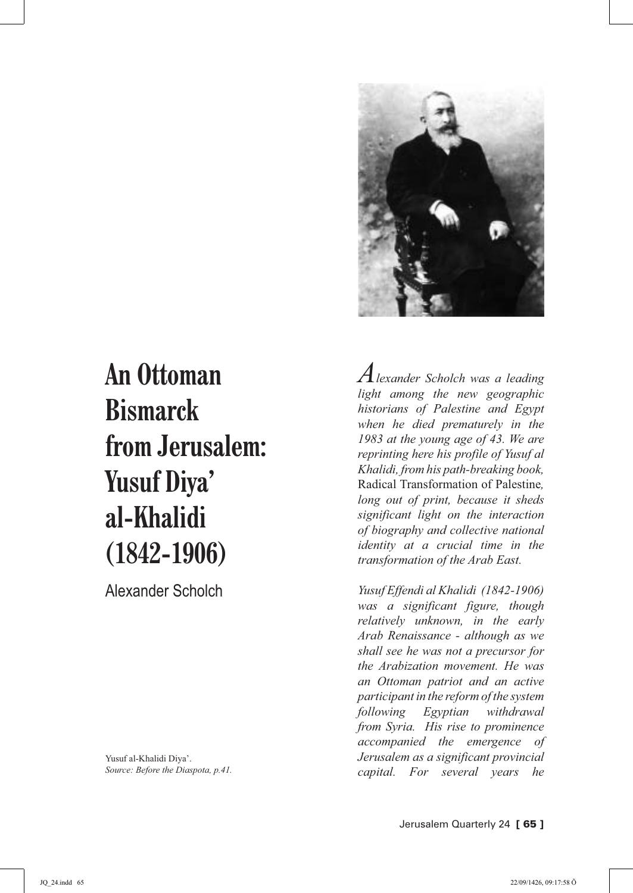

## **An Ottoman Bismarck from Jerusalem: Yusuf Diya' al-Khalidi (1842-1906)**

Alexander Scholch

Yusuf al-Khalidi Diya'. *Source: Before the Diaspota, p.41.* *Alexander Scholch was a leading light among the new geographic historians of Palestine and Egypt when he died prematurely in the 1983 at the young age of 43. We are reprinting here his profile of Yusuf al Khalidi, from his path-breaking book,*  Radical Transformation of Palestine*, long out of print, because it sheds significant light on the interaction of biography and collective national identity at a crucial time in the transformation of the Arab East.*

*Yusuf Effendi al Khalidi (1842-1906) was a significant figure, though relatively unknown, in the early Arab Renaissance - although as we shall see he was not a precursor for the Arabization movement. He was an Ottoman patriot and an active participant in the reform of the system following Egyptian withdrawal from Syria. His rise to prominence accompanied the emergence of Jerusalem as a significant provincial capital. For several years he*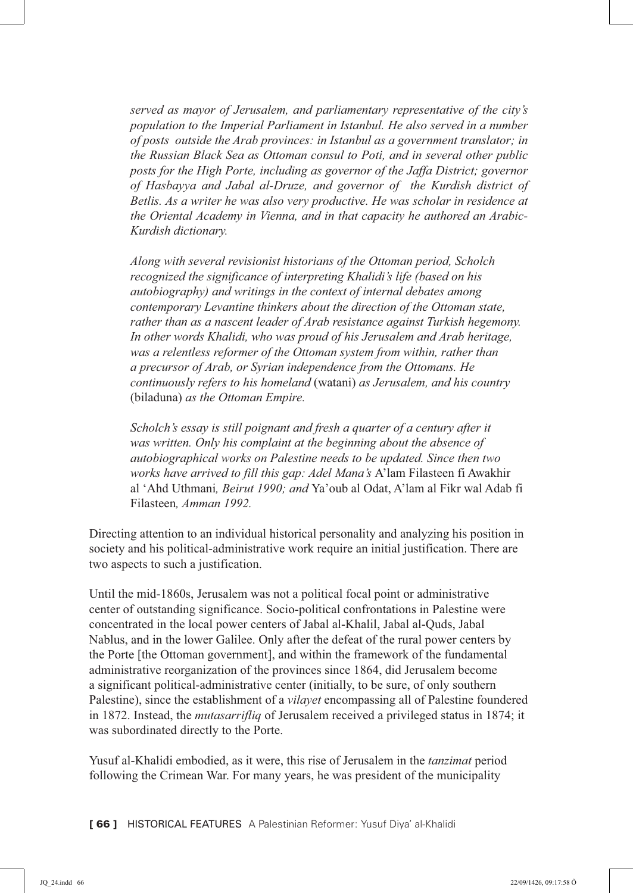*served as mayor of Jerusalem, and parliamentary representative of the city's population to the Imperial Parliament in Istanbul. He also served in a number of posts outside the Arab provinces: in Istanbul as a government translator; in the Russian Black Sea as Ottoman consul to Poti, and in several other public posts for the High Porte, including as governor of the Jaffa District; governor of Hasbayya and Jabal al-Druze, and governor of the Kurdish district of Betlis. As a writer he was also very productive. He was scholar in residence at the Oriental Academy in Vienna, and in that capacity he authored an Arabic-Kurdish dictionary.*

*Along with several revisionist historians of the Ottoman period, Scholch recognized the significance of interpreting Khalidi's life (based on his autobiography) and writings in the context of internal debates among contemporary Levantine thinkers about the direction of the Ottoman state, rather than as a nascent leader of Arab resistance against Turkish hegemony. In other words Khalidi, who was proud of his Jerusalem and Arab heritage, was a relentless reformer of the Ottoman system from within, rather than a precursor of Arab, or Syrian independence from the Ottomans. He continuously refers to his homeland* (watani) *as Jerusalem, and his country*  (biladuna) *as the Ottoman Empire.*

*Scholch's essay is still poignant and fresh a quarter of a century after it was written. Only his complaint at the beginning about the absence of autobiographical works on Palestine needs to be updated. Since then two works have arrived to fill this gap: Adel Mana's* A'lam Filasteen fi Awakhir al 'Ahd Uthmani*, Beirut 1990; and* Ya'oub al Odat, A'lam al Fikr wal Adab fi Filasteen*, Amman 1992.*

Directing attention to an individual historical personality and analyzing his position in society and his political-administrative work require an initial justification. There are two aspects to such a justification.

Until the mid-1860s, Jerusalem was not a political focal point or administrative center of outstanding significance. Socio-political confrontations in Palestine were concentrated in the local power centers of Jabal al-Khalil, Jabal al-Quds, Jabal Nablus, and in the lower Galilee. Only after the defeat of the rural power centers by the Porte [the Ottoman government], and within the framework of the fundamental administrative reorganization of the provinces since 1864, did Jerusalem become a significant political-administrative center (initially, to be sure, of only southern Palestine), since the establishment of a *vilayet* encompassing all of Palestine foundered in 1872. Instead, the *mutasarrifliq* of Jerusalem received a privileged status in 1874; it was subordinated directly to the Porte.

Yusuf al-Khalidi embodied, as it were, this rise of Jerusalem in the *tanzimat* period following the Crimean War. For many years, he was president of the municipality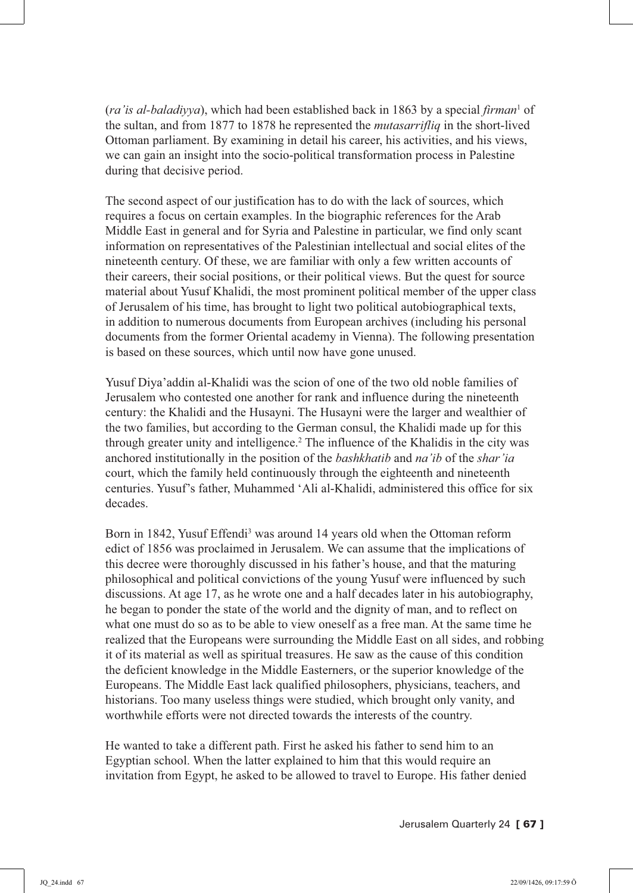(*ra'is al-baladiyya*), which had been established back in 1863 by a special *firman*<sup>1</sup> of the sultan, and from 1877 to 1878 he represented the *mutasarrifliq* in the short-lived Ottoman parliament. By examining in detail his career, his activities, and his views, we can gain an insight into the socio-political transformation process in Palestine during that decisive period.

The second aspect of our justification has to do with the lack of sources, which requires a focus on certain examples. In the biographic references for the Arab Middle East in general and for Syria and Palestine in particular, we find only scant information on representatives of the Palestinian intellectual and social elites of the nineteenth century. Of these, we are familiar with only a few written accounts of their careers, their social positions, or their political views. But the quest for source material about Yusuf Khalidi, the most prominent political member of the upper class of Jerusalem of his time, has brought to light two political autobiographical texts, in addition to numerous documents from European archives (including his personal documents from the former Oriental academy in Vienna). The following presentation is based on these sources, which until now have gone unused.

Yusuf Diya'addin al-Khalidi was the scion of one of the two old noble families of Jerusalem who contested one another for rank and influence during the nineteenth century: the Khalidi and the Husayni. The Husayni were the larger and wealthier of the two families, but according to the German consul, the Khalidi made up for this through greater unity and intelligence.<sup>2</sup> The influence of the Khalidis in the city was anchored institutionally in the position of the *bashkhatib* and *na'ib* of the *shar'ia* court, which the family held continuously through the eighteenth and nineteenth centuries. Yusuf's father, Muhammed 'Ali al-Khalidi, administered this office for six decades.

Born in 1842, Yusuf Effendi<sup>3</sup> was around 14 years old when the Ottoman reform edict of 1856 was proclaimed in Jerusalem. We can assume that the implications of this decree were thoroughly discussed in his father's house, and that the maturing philosophical and political convictions of the young Yusuf were influenced by such discussions. At age 17, as he wrote one and a half decades later in his autobiography, he began to ponder the state of the world and the dignity of man, and to reflect on what one must do so as to be able to view oneself as a free man. At the same time he realized that the Europeans were surrounding the Middle East on all sides, and robbing it of its material as well as spiritual treasures. He saw as the cause of this condition the deficient knowledge in the Middle Easterners, or the superior knowledge of the Europeans. The Middle East lack qualified philosophers, physicians, teachers, and historians. Too many useless things were studied, which brought only vanity, and worthwhile efforts were not directed towards the interests of the country.

He wanted to take a different path. First he asked his father to send him to an Egyptian school. When the latter explained to him that this would require an invitation from Egypt, he asked to be allowed to travel to Europe. His father denied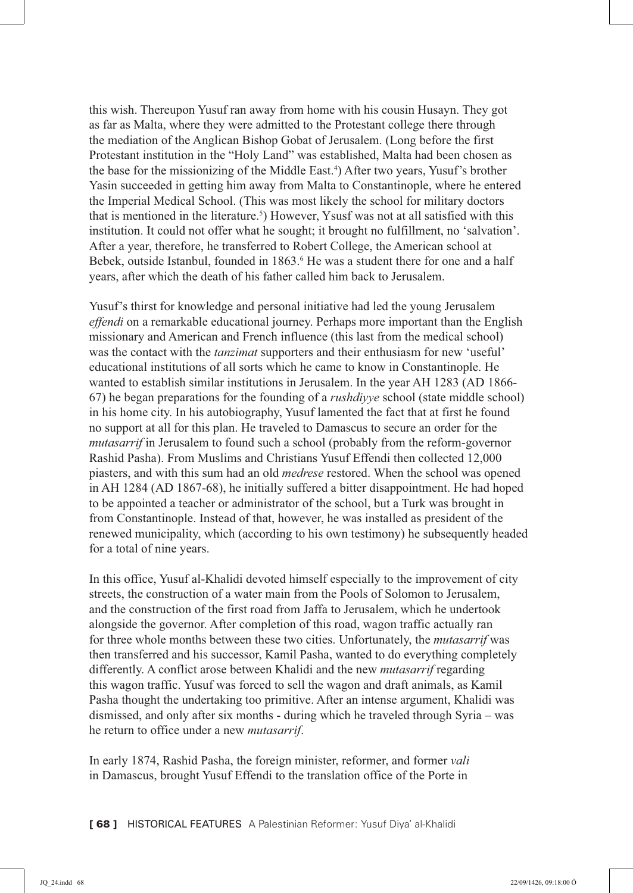this wish. Thereupon Yusuf ran away from home with his cousin Husayn. They got as far as Malta, where they were admitted to the Protestant college there through the mediation of the Anglican Bishop Gobat of Jerusalem. (Long before the first Protestant institution in the "Holy Land" was established, Malta had been chosen as the base for the missionizing of the Middle East.<sup>4</sup>) After two years, Yusuf's brother Yasin succeeded in getting him away from Malta to Constantinople, where he entered the Imperial Medical School. (This was most likely the school for military doctors that is mentioned in the literature.<sup>5</sup>) However, Y susf was not at all satisfied with this institution. It could not offer what he sought; it brought no fulfillment, no 'salvation'. After a year, therefore, he transferred to Robert College, the American school at Bebek, outside Istanbul, founded in 1863.<sup>6</sup> He was a student there for one and a half years, after which the death of his father called him back to Jerusalem.

Yusuf's thirst for knowledge and personal initiative had led the young Jerusalem *effendi* on a remarkable educational journey. Perhaps more important than the English missionary and American and French influence (this last from the medical school) was the contact with the *tanzimat* supporters and their enthusiasm for new 'useful' educational institutions of all sorts which he came to know in Constantinople. He wanted to establish similar institutions in Jerusalem. In the year AH 1283 (AD 1866- 67) he began preparations for the founding of a *rushdiyye* school (state middle school) in his home city. In his autobiography, Yusuf lamented the fact that at first he found no support at all for this plan. He traveled to Damascus to secure an order for the *mutasarrif* in Jerusalem to found such a school (probably from the reform-governor Rashid Pasha). From Muslims and Christians Yusuf Effendi then collected 12,000 piasters, and with this sum had an old *medrese* restored. When the school was opened in AH 1284 (AD 1867-68), he initially suffered a bitter disappointment. He had hoped to be appointed a teacher or administrator of the school, but a Turk was brought in from Constantinople. Instead of that, however, he was installed as president of the renewed municipality, which (according to his own testimony) he subsequently headed for a total of nine years.

In this office, Yusuf al-Khalidi devoted himself especially to the improvement of city streets, the construction of a water main from the Pools of Solomon to Jerusalem, and the construction of the first road from Jaffa to Jerusalem, which he undertook alongside the governor. After completion of this road, wagon traffic actually ran for three whole months between these two cities. Unfortunately, the *mutasarrif* was then transferred and his successor, Kamil Pasha, wanted to do everything completely differently. A conflict arose between Khalidi and the new *mutasarrif* regarding this wagon traffic. Yusuf was forced to sell the wagon and draft animals, as Kamil Pasha thought the undertaking too primitive. After an intense argument, Khalidi was dismissed, and only after six months - during which he traveled through Syria – was he return to office under a new *mutasarrif*.

In early 1874, Rashid Pasha, the foreign minister, reformer, and former *vali* in Damascus, brought Yusuf Effendi to the translation office of the Porte in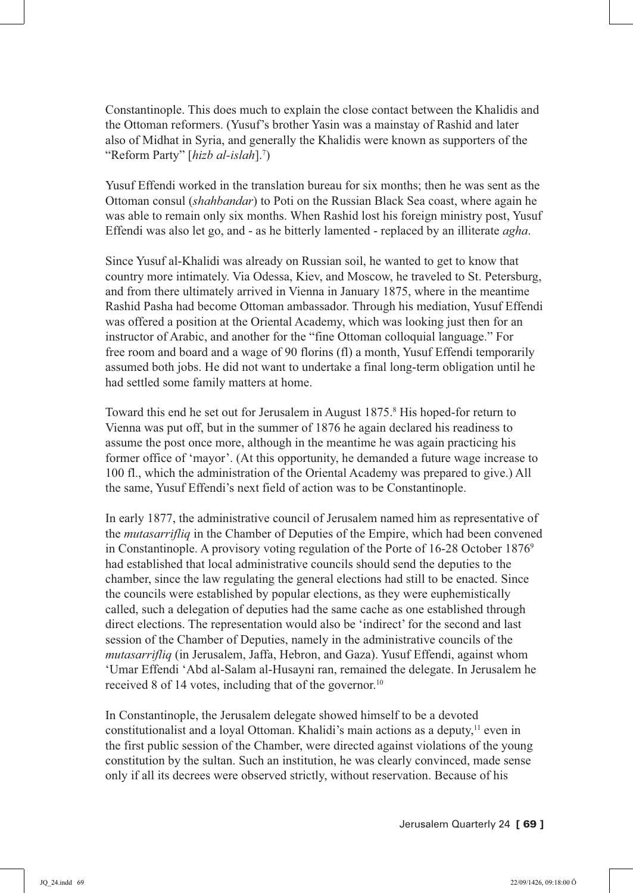Constantinople. This does much to explain the close contact between the Khalidis and the Ottoman reformers. (Yusuf's brother Yasin was a mainstay of Rashid and later also of Midhat in Syria, and generally the Khalidis were known as supporters of the "Reform Party" [*hizb al-islah*].7 )

Yusuf Effendi worked in the translation bureau for six months; then he was sent as the Ottoman consul (*shahbandar*) to Poti on the Russian Black Sea coast, where again he was able to remain only six months. When Rashid lost his foreign ministry post, Yusuf Effendi was also let go, and - as he bitterly lamented - replaced by an illiterate *agha*.

Since Yusuf al-Khalidi was already on Russian soil, he wanted to get to know that country more intimately. Via Odessa, Kiev, and Moscow, he traveled to St. Petersburg, and from there ultimately arrived in Vienna in January 1875, where in the meantime Rashid Pasha had become Ottoman ambassador. Through his mediation, Yusuf Effendi was offered a position at the Oriental Academy, which was looking just then for an instructor of Arabic, and another for the "fine Ottoman colloquial language." For free room and board and a wage of 90 florins (fl) a month, Yusuf Effendi temporarily assumed both jobs. He did not want to undertake a final long-term obligation until he had settled some family matters at home.

Toward this end he set out for Jerusalem in August 1875.<sup>8</sup> His hoped-for return to Vienna was put off, but in the summer of 1876 he again declared his readiness to assume the post once more, although in the meantime he was again practicing his former office of 'mayor'. (At this opportunity, he demanded a future wage increase to 100 fl., which the administration of the Oriental Academy was prepared to give.) All the same, Yusuf Effendi's next field of action was to be Constantinople.

In early 1877, the administrative council of Jerusalem named him as representative of the *mutasarrifliq* in the Chamber of Deputies of the Empire, which had been convened in Constantinople. A provisory voting regulation of the Porte of 16-28 October 1876<sup>9</sup> had established that local administrative councils should send the deputies to the chamber, since the law regulating the general elections had still to be enacted. Since the councils were established by popular elections, as they were euphemistically called, such a delegation of deputies had the same cache as one established through direct elections. The representation would also be 'indirect' for the second and last session of the Chamber of Deputies, namely in the administrative councils of the *mutasarrifliq* (in Jerusalem, Jaffa, Hebron, and Gaza). Yusuf Effendi, against whom 'Umar Effendi 'Abd al-Salam al-Husayni ran, remained the delegate. In Jerusalem he received 8 of 14 votes, including that of the governor.<sup>10</sup>

In Constantinople, the Jerusalem delegate showed himself to be a devoted constitutionalist and a loyal Ottoman. Khalidi's main actions as a deputy,<sup>11</sup> even in the first public session of the Chamber, were directed against violations of the young constitution by the sultan. Such an institution, he was clearly convinced, made sense only if all its decrees were observed strictly, without reservation. Because of his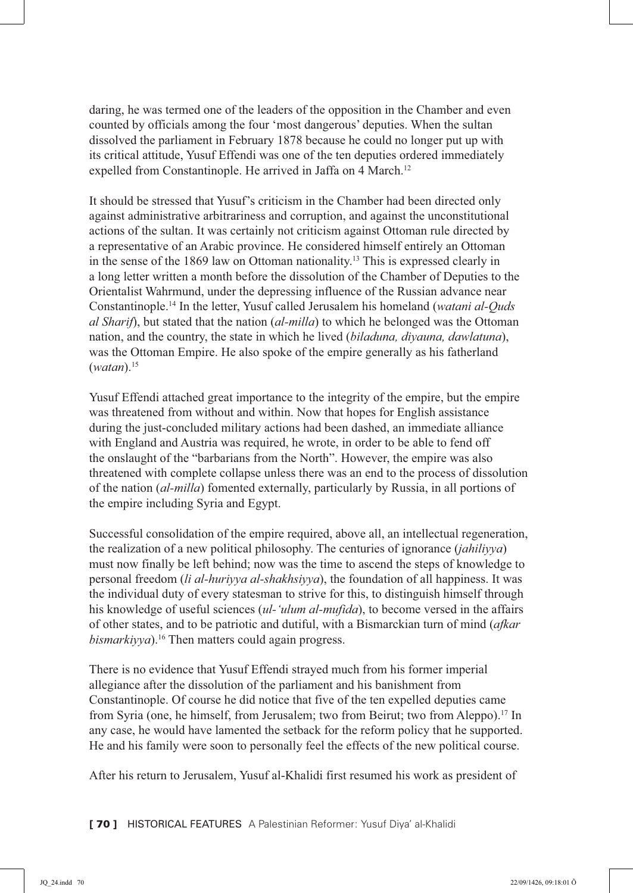daring, he was termed one of the leaders of the opposition in the Chamber and even counted by officials among the four 'most dangerous' deputies. When the sultan dissolved the parliament in February 1878 because he could no longer put up with its critical attitude, Yusuf Effendi was one of the ten deputies ordered immediately expelled from Constantinople. He arrived in Jaffa on 4 March.<sup>12</sup>

It should be stressed that Yusuf's criticism in the Chamber had been directed only against administrative arbitrariness and corruption, and against the unconstitutional actions of the sultan. It was certainly not criticism against Ottoman rule directed by a representative of an Arabic province. He considered himself entirely an Ottoman in the sense of the 1869 law on Ottoman nationality.13 This is expressed clearly in a long letter written a month before the dissolution of the Chamber of Deputies to the Orientalist Wahrmund, under the depressing influence of the Russian advance near Constantinople.14 In the letter, Yusuf called Jerusalem his homeland (*watani al-Quds al Sharif*), but stated that the nation (*al-milla*) to which he belonged was the Ottoman nation, and the country, the state in which he lived (*biladuna, diyauna, dawlatuna*), was the Ottoman Empire. He also spoke of the empire generally as his fatherland (*watan*).15

Yusuf Effendi attached great importance to the integrity of the empire, but the empire was threatened from without and within. Now that hopes for English assistance during the just-concluded military actions had been dashed, an immediate alliance with England and Austria was required, he wrote, in order to be able to fend off the onslaught of the "barbarians from the North". However, the empire was also threatened with complete collapse unless there was an end to the process of dissolution of the nation (*al-milla*) fomented externally, particularly by Russia, in all portions of the empire including Syria and Egypt.

Successful consolidation of the empire required, above all, an intellectual regeneration, the realization of a new political philosophy. The centuries of ignorance (*jahiliyya*) must now finally be left behind; now was the time to ascend the steps of knowledge to personal freedom (*li al-huriyya al-shakhsiyya*), the foundation of all happiness. It was the individual duty of every statesman to strive for this, to distinguish himself through his knowledge of useful sciences (*ul-'ulum al-mufida*), to become versed in the affairs of other states, and to be patriotic and dutiful, with a Bismarckian turn of mind (*afkar bismarkiyya*).<sup>16</sup> Then matters could again progress.

There is no evidence that Yusuf Effendi strayed much from his former imperial allegiance after the dissolution of the parliament and his banishment from Constantinople. Of course he did notice that five of the ten expelled deputies came from Syria (one, he himself, from Jerusalem; two from Beirut; two from Aleppo).17 In any case, he would have lamented the setback for the reform policy that he supported. He and his family were soon to personally feel the effects of the new political course.

After his return to Jerusalem, Yusuf al-Khalidi first resumed his work as president of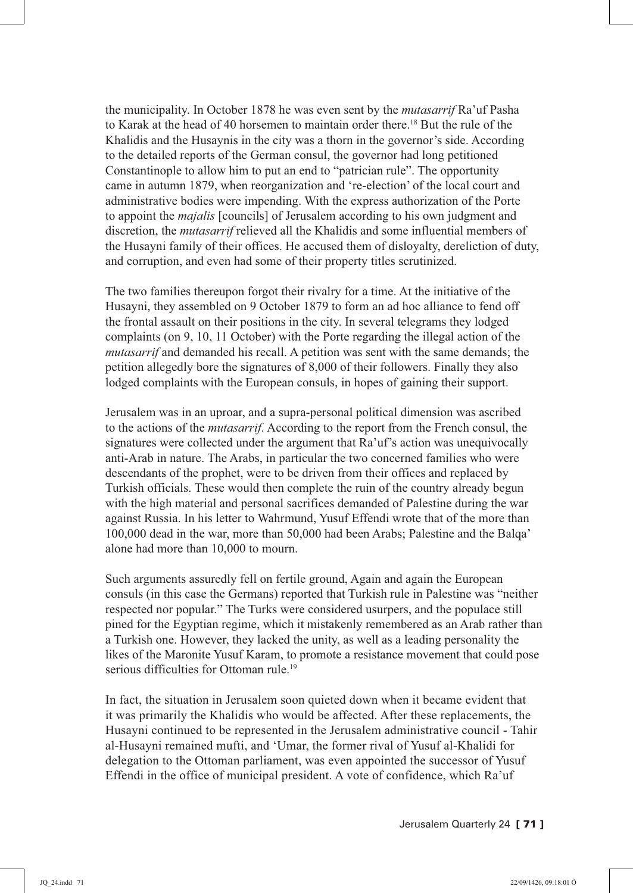the municipality. In October 1878 he was even sent by the *mutasarrif* Ra'uf Pasha to Karak at the head of 40 horsemen to maintain order there.18 But the rule of the Khalidis and the Husaynis in the city was a thorn in the governor's side. According to the detailed reports of the German consul, the governor had long petitioned Constantinople to allow him to put an end to "patrician rule". The opportunity came in autumn 1879, when reorganization and 're-election' of the local court and administrative bodies were impending. With the express authorization of the Porte to appoint the *majalis* [councils] of Jerusalem according to his own judgment and discretion, the *mutasarrif* relieved all the Khalidis and some influential members of the Husayni family of their offices. He accused them of disloyalty, dereliction of duty, and corruption, and even had some of their property titles scrutinized.

The two families thereupon forgot their rivalry for a time. At the initiative of the Husayni, they assembled on 9 October 1879 to form an ad hoc alliance to fend off the frontal assault on their positions in the city. In several telegrams they lodged complaints (on 9, 10, 11 October) with the Porte regarding the illegal action of the *mutasarrif* and demanded his recall. A petition was sent with the same demands; the petition allegedly bore the signatures of 8,000 of their followers. Finally they also lodged complaints with the European consuls, in hopes of gaining their support.

Jerusalem was in an uproar, and a supra-personal political dimension was ascribed to the actions of the *mutasarrif*. According to the report from the French consul, the signatures were collected under the argument that Ra'uf's action was unequivocally anti-Arab in nature. The Arabs, in particular the two concerned families who were descendants of the prophet, were to be driven from their offices and replaced by Turkish officials. These would then complete the ruin of the country already begun with the high material and personal sacrifices demanded of Palestine during the war against Russia. In his letter to Wahrmund, Yusuf Effendi wrote that of the more than 100,000 dead in the war, more than 50,000 had been Arabs; Palestine and the Balqa' alone had more than 10,000 to mourn.

Such arguments assuredly fell on fertile ground, Again and again the European consuls (in this case the Germans) reported that Turkish rule in Palestine was "neither respected nor popular." The Turks were considered usurpers, and the populace still pined for the Egyptian regime, which it mistakenly remembered as an Arab rather than a Turkish one. However, they lacked the unity, as well as a leading personality the likes of the Maronite Yusuf Karam, to promote a resistance movement that could pose serious difficulties for Ottoman rule.<sup>19</sup>

In fact, the situation in Jerusalem soon quieted down when it became evident that it was primarily the Khalidis who would be affected. After these replacements, the Husayni continued to be represented in the Jerusalem administrative council - Tahir al-Husayni remained mufti, and 'Umar, the former rival of Yusuf al-Khalidi for delegation to the Ottoman parliament, was even appointed the successor of Yusuf Effendi in the office of municipal president. A vote of confidence, which Ra'uf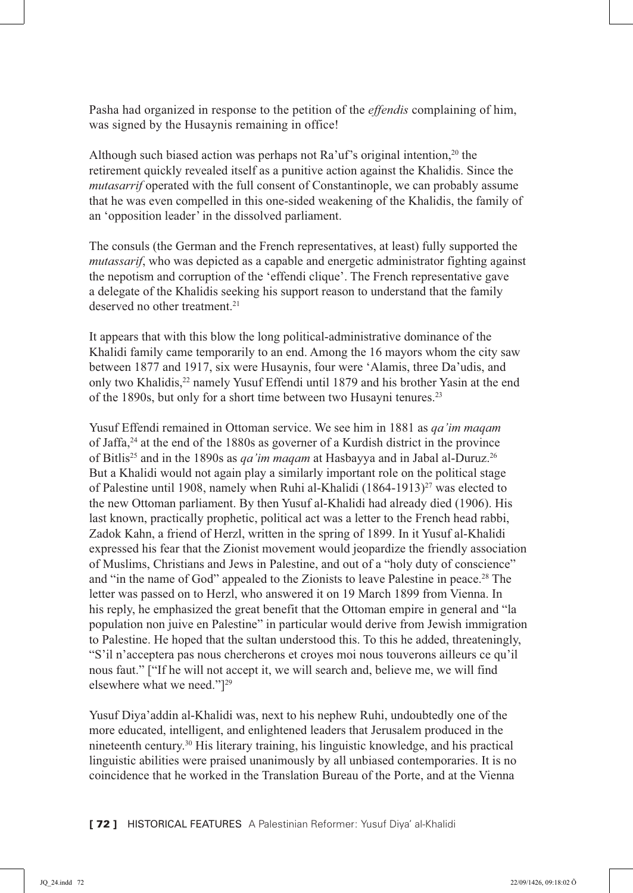Pasha had organized in response to the petition of the *effendis* complaining of him, was signed by the Husaynis remaining in office!

Although such biased action was perhaps not  $Ra'$  at  $S$  original intention,<sup>20</sup> the retirement quickly revealed itself as a punitive action against the Khalidis. Since the *mutasarrif* operated with the full consent of Constantinople, we can probably assume that he was even compelled in this one-sided weakening of the Khalidis, the family of an 'opposition leader' in the dissolved parliament.

The consuls (the German and the French representatives, at least) fully supported the *mutassarif*, who was depicted as a capable and energetic administrator fighting against the nepotism and corruption of the 'effendi clique'. The French representative gave a delegate of the Khalidis seeking his support reason to understand that the family deserved no other treatment.<sup>21</sup>

It appears that with this blow the long political-administrative dominance of the Khalidi family came temporarily to an end. Among the 16 mayors whom the city saw between 1877 and 1917, six were Husaynis, four were 'Alamis, three Da'udis, and only two Khalidis,22 namely Yusuf Effendi until 1879 and his brother Yasin at the end of the 1890s, but only for a short time between two Husayni tenures.23

Yusuf Effendi remained in Ottoman service. We see him in 1881 as *qa'im maqam* of Jaffa,24 at the end of the 1880s as governer of a Kurdish district in the province of Bitlis25 and in the 1890s as *qa'im maqam* at Hasbayya and in Jabal al-Duruz.26 But a Khalidi would not again play a similarly important role on the political stage of Palestine until 1908, namely when Ruhi al-Khalidi (1864-1913)<sup>27</sup> was elected to the new Ottoman parliament. By then Yusuf al-Khalidi had already died (1906). His last known, practically prophetic, political act was a letter to the French head rabbi, Zadok Kahn, a friend of Herzl, written in the spring of 1899. In it Yusuf al-Khalidi expressed his fear that the Zionist movement would jeopardize the friendly association of Muslims, Christians and Jews in Palestine, and out of a "holy duty of conscience" and "in the name of God" appealed to the Zionists to leave Palestine in peace.<sup>28</sup> The letter was passed on to Herzl, who answered it on 19 March 1899 from Vienna. In his reply, he emphasized the great benefit that the Ottoman empire in general and "la population non juive en Palestine" in particular would derive from Jewish immigration to Palestine. He hoped that the sultan understood this. To this he added, threateningly, "S'il n'acceptera pas nous chercherons et croyes moi nous touverons ailleurs ce qu'il nous faut." ["If he will not accept it, we will search and, believe me, we will find elsewhere what we need."<sup>[29</sup>]

Yusuf Diya'addin al-Khalidi was, next to his nephew Ruhi, undoubtedly one of the more educated, intelligent, and enlightened leaders that Jerusalem produced in the nineteenth century.30 His literary training, his linguistic knowledge, and his practical linguistic abilities were praised unanimously by all unbiased contemporaries. It is no coincidence that he worked in the Translation Bureau of the Porte, and at the Vienna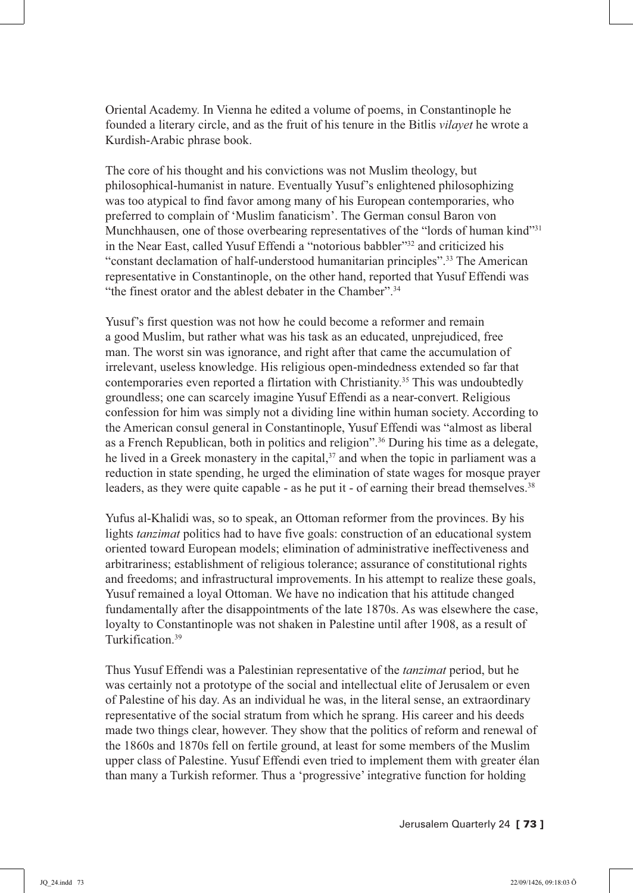Oriental Academy. In Vienna he edited a volume of poems, in Constantinople he founded a literary circle, and as the fruit of his tenure in the Bitlis *vilayet* he wrote a Kurdish-Arabic phrase book.

The core of his thought and his convictions was not Muslim theology, but philosophical-humanist in nature. Eventually Yusuf's enlightened philosophizing was too atypical to find favor among many of his European contemporaries, who preferred to complain of 'Muslim fanaticism'. The German consul Baron von Munchhausen, one of those overbearing representatives of the "lords of human kind"<sup>31</sup> in the Near East, called Yusuf Effendi a "notorious babbler"32 and criticized his "constant declamation of half-understood humanitarian principles".33 The American representative in Constantinople, on the other hand, reported that Yusuf Effendi was "the finest orator and the ablest debater in the Chamber".34

Yusuf's first question was not how he could become a reformer and remain a good Muslim, but rather what was his task as an educated, unprejudiced, free man. The worst sin was ignorance, and right after that came the accumulation of irrelevant, useless knowledge. His religious open-mindedness extended so far that contemporaries even reported a flirtation with Christianity.35 This was undoubtedly groundless; one can scarcely imagine Yusuf Effendi as a near-convert. Religious confession for him was simply not a dividing line within human society. According to the American consul general in Constantinople, Yusuf Effendi was "almost as liberal as a French Republican, both in politics and religion".36 During his time as a delegate, he lived in a Greek monastery in the capital, $37$  and when the topic in parliament was a reduction in state spending, he urged the elimination of state wages for mosque prayer leaders, as they were quite capable - as he put it - of earning their bread themselves.<sup>38</sup>

Yufus al-Khalidi was, so to speak, an Ottoman reformer from the provinces. By his lights *tanzimat* politics had to have five goals: construction of an educational system oriented toward European models; elimination of administrative ineffectiveness and arbitrariness; establishment of religious tolerance; assurance of constitutional rights and freedoms; and infrastructural improvements. In his attempt to realize these goals, Yusuf remained a loyal Ottoman. We have no indication that his attitude changed fundamentally after the disappointments of the late 1870s. As was elsewhere the case, loyalty to Constantinople was not shaken in Palestine until after 1908, as a result of Turkification.39

Thus Yusuf Effendi was a Palestinian representative of the *tanzimat* period, but he was certainly not a prototype of the social and intellectual elite of Jerusalem or even of Palestine of his day. As an individual he was, in the literal sense, an extraordinary representative of the social stratum from which he sprang. His career and his deeds made two things clear, however. They show that the politics of reform and renewal of the 1860s and 1870s fell on fertile ground, at least for some members of the Muslim upper class of Palestine. Yusuf Effendi even tried to implement them with greater élan than many a Turkish reformer. Thus a 'progressive' integrative function for holding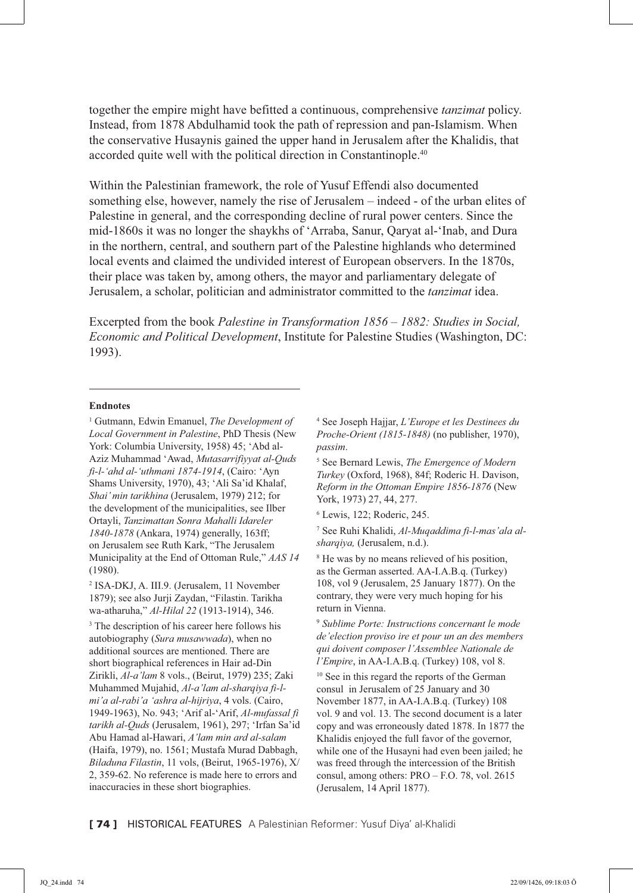together the empire might have befitted a continuous, comprehensive *tanzimat* policy. Instead, from 1878 Abdulhamid took the path of repression and pan-Islamism. When the conservative Husaynis gained the upper hand in Jerusalem after the Khalidis, that accorded quite well with the political direction in Constantinople.<sup>40</sup>

Within the Palestinian framework, the role of Yusuf Effendi also documented something else, however, namely the rise of Jerusalem – indeed - of the urban elites of Palestine in general, and the corresponding decline of rural power centers. Since the mid-1860s it was no longer the shaykhs of 'Arraba, Sanur, Qaryat al-'Inab, and Dura in the northern, central, and southern part of the Palestine highlands who determined local events and claimed the undivided interest of European observers. In the 1870s, their place was taken by, among others, the mayor and parliamentary delegate of Jerusalem, a scholar, politician and administrator committed to the *tanzimat* idea.

Excerpted from the book *Palestine in Transformation 1856 – 1882: Studies in Social, Economic and Political Development*, Institute for Palestine Studies (Washington, DC: 1993).

## **Endnotes**

1 Gutmann, Edwin Emanuel, *The Development of Local Government in Palestine*, PhD Thesis (New York: Columbia University, 1958) 45; 'Abd al-Aziz Muhammad 'Awad, *Mutasarrifiyyat al-Quds fi-l-'ahd al-'uthmani 1874-1914*, (Cairo: 'Ayn Shams University, 1970), 43; 'Ali Sa'id Khalaf, *Shai' min tarikhina* (Jerusalem, 1979) 212; for the development of the municipalities, see Ilber Ortayli, *Tanzimattan Sonra Mahalli Idareler 1840-1878* (Ankara, 1974) generally, 163ff; on Jerusalem see Ruth Kark, "The Jerusalem Municipality at the End of Ottoman Rule," *AAS 14* (1980).

2 ISA-DKJ, A. III.9. (Jerusalem, 11 November 1879); see also Jurji Zaydan, "Filastin. Tarikha wa-atharuha," *Al-Hilal 22* (1913-1914), 346.

<sup>3</sup> The description of his career here follows his autobiography (*Sura musawwada*), when no additional sources are mentioned. There are short biographical references in Hair ad-Din Zirikli, *Al-a'lam* 8 vols., (Beirut, 1979) 235; Zaki Muhammed Mujahid, *Al-a'lam al-sharqiya fi-lmi'a al-rabi'a 'ashra al-hijriya*, 4 vols. (Cairo, 1949-1963), No. 943; 'Arif al-'Arif, *Al-mufassal fi tarikh al-Quds* (Jerusalem, 1961), 297; 'Irfan Sa'id Abu Hamad al-Hawari, *A'lam min ard al-salam* (Haifa, 1979), no. 1561; Mustafa Murad Dabbagh, *Biladuna Filastin*, 11 vols, (Beirut, 1965-1976), X/ 2, 359-62. No reference is made here to errors and inaccuracies in these short biographies.

4 See Joseph Hajjar, *L'Europe et les Destinees du Proche-Orient (1815-1848)* (no publisher, 1970), *passim*.

5 See Bernard Lewis, *The Emergence of Modern Turkey* (Oxford, 1968), 84f; Roderic H. Davison, *Reform in the Ottoman Empire 1856-1876* (New York, 1973) 27, 44, 277.

6 Lewis, 122; Roderic, 245.

7 See Ruhi Khalidi, *Al-Muqaddima fi-l-mas'ala alsharqiya,* (Jerusalem, n.d.).

8 He was by no means relieved of his position, as the German asserted. AA-I.A.B.q. (Turkey) 108, vol 9 (Jerusalem, 25 January 1877). On the contrary, they were very much hoping for his return in Vienna.

<sup>9</sup> *Sublime Porte: Instructions concernant le mode de'election proviso ire et pour un an des members qui doivent composer l'Assemblee Nationale de l'Empire*, in AA-I.A.B.q. (Turkey) 108, vol 8.

<sup>10</sup> See in this regard the reports of the German consul in Jerusalem of 25 January and 30 November 1877, in AA-I.A.B.q. (Turkey) 108 vol. 9 and vol. 13. The second document is a later copy and was erroneously dated 1878. In 1877 the Khalidis enjoyed the full favor of the governor, while one of the Husayni had even been jailed; he was freed through the intercession of the British consul, among others: PRO – F.O. 78, vol. 2615 (Jerusalem, 14 April 1877).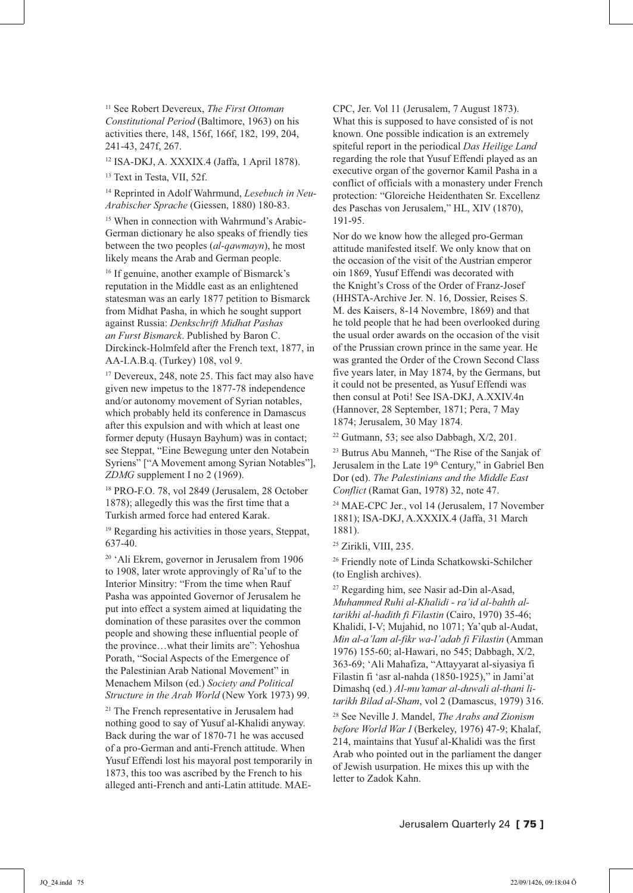11 See Robert Devereux, *The First Ottoman Constitutional Period* (Baltimore, 1963) on his activities there, 148, 156f, 166f, 182, 199, 204, 241-43, 247f, 267.

12 ISA-DKJ, A. XXXIX.4 (Jaffa, 1 April 1878).

<sup>13</sup> Text in Testa, VII, 52f.

14 Reprinted in Adolf Wahrmund, *Lesebuch in Neu-Arabischer Sprache* (Giessen, 1880) 180-83.

<sup>15</sup> When in connection with Wahrmund's Arabic-German dictionary he also speaks of friendly ties between the two peoples (*al-qawmayn*), he most likely means the Arab and German people.

<sup>16</sup> If genuine, another example of Bismarck's reputation in the Middle east as an enlightened statesman was an early 1877 petition to Bismarck from Midhat Pasha, in which he sought support against Russia: *Denkschrift Midhat Pashas an Furst Bismarck*. Published by Baron C. Dirckinck-Holmfeld after the French text, 1877, in AA-I.A.B.q. (Turkey) 108, vol 9.

<sup>17</sup> Devereux, 248, note 25. This fact may also have given new impetus to the 1877-78 independence and/or autonomy movement of Syrian notables, which probably held its conference in Damascus after this expulsion and with which at least one former deputy (Husayn Bayhum) was in contact; see Steppat, "Eine Bewegung unter den Notabein Syriens" ["A Movement among Syrian Notables"], *ZDMG* supplement I no 2 (1969).

18 PRO-F.O. 78, vol 2849 (Jerusalem, 28 October 1878); allegedly this was the first time that a Turkish armed force had entered Karak.

19 Regarding his activities in those years, Steppat, 637-40.

20 'Ali Ekrem, governor in Jerusalem from 1906 to 1908, later wrote approvingly of Ra'uf to the Interior Minsitry: "From the time when Rauf Pasha was appointed Governor of Jerusalem he put into effect a system aimed at liquidating the domination of these parasites over the common people and showing these influential people of the province…what their limits are": Yehoshua Porath, "Social Aspects of the Emergence of the Palestinian Arab National Movement" in Menachem Milson (ed.) *Society and Political Structure in the Arab World* (New York 1973) 99.

21 The French representative in Jerusalem had nothing good to say of Yusuf al-Khalidi anyway. Back during the war of 1870-71 he was accused of a pro-German and anti-French attitude. When Yusuf Effendi lost his mayoral post temporarily in 1873, this too was ascribed by the French to his alleged anti-French and anti-Latin attitude. MAE-

CPC, Jer. Vol 11 (Jerusalem, 7 August 1873). What this is supposed to have consisted of is not known. One possible indication is an extremely spiteful report in the periodical *Das Heilige Land* regarding the role that Yusuf Effendi played as an executive organ of the governor Kamil Pasha in a conflict of officials with a monastery under French protection: "Gloreiche Heidenthaten Sr. Excellenz des Paschas von Jerusalem," HL, XIV (1870), 191-95.

Nor do we know how the alleged pro-German attitude manifested itself. We only know that on the occasion of the visit of the Austrian emperor oin 1869, Yusuf Effendi was decorated with the Knight's Cross of the Order of Franz-Josef (HHSTA-Archive Jer. N. 16, Dossier, Reises S. M. des Kaisers, 8-14 Novembre, 1869) and that he told people that he had been overlooked during the usual order awards on the occasion of the visit of the Prussian crown prince in the same year. He was granted the Order of the Crown Second Class five years later, in May 1874, by the Germans, but it could not be presented, as Yusuf Effendi was then consul at Poti! See ISA-DKJ, A.XXIV.4n (Hannover, 28 September, 1871; Pera, 7 May 1874; Jerusalem, 30 May 1874.

 $22$  Gutmann, 53; see also Dabbagh,  $X/2$ , 201.

23 Butrus Abu Manneh, "The Rise of the Sanjak of Jerusalem in the Late 19<sup>th</sup> Century," in Gabriel Ben Dor (ed). *The Palestinians and the Middle East Conflict* (Ramat Gan, 1978) 32, note 47.

24 MAE-CPC Jer., vol 14 (Jerusalem, 17 November 1881); ISA-DKJ, A.XXXIX.4 (Jaffa, 31 March 1881).

25 Zirikli, VIII, 235.

26 Friendly note of Linda Schatkowski-Schilcher (to English archives).

27 Regarding him, see Nasir ad-Din al-Asad, *Muhammed Ruhi al-Khalidi - ra'id al-bahth altarikhi al-hadith fi Filastin* (Cairo, 1970) 35-46; Khalidi, I-V; Mujahid, no 1071; Ya'qub al-Audat, *Min al-a'lam al-fikr wa-l'adab fi Filastin* (Amman 1976) 155-60; al-Hawari, no 545; Dabbagh, X/2, 363-69; 'Ali Mahafiza, "Attayyarat al-siyasiya fi Filastin fi 'asr al-nahda (1850-1925)," in Jami'at Dimashq (ed.) *Al-mu'tamar al-duwali al-thani litarikh Bilad al-Sham*, vol 2 (Damascus, 1979) 316.

28 See Neville J. Mandel, *The Arabs and Zionism before World War I* (Berkeley, 1976) 47-9; Khalaf, 214, maintains that Yusuf al-Khalidi was the first Arab who pointed out in the parliament the danger of Jewish usurpation. He mixes this up with the letter to Zadok Kahn.